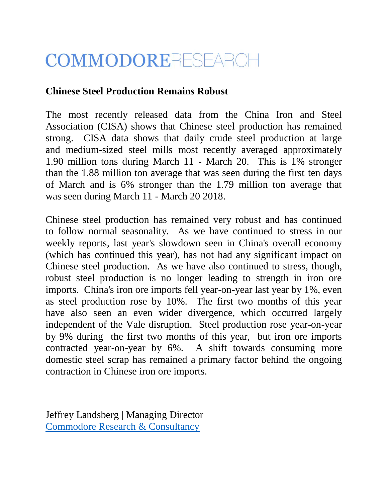## COMMODORERESEARCH

## **Chinese Steel Production Remains Robust**

The most recently released data from the China Iron and Steel Association (CISA) shows that Chinese steel production has remained strong. CISA data shows that daily crude steel production at large and medium-sized steel mills most recently averaged approximately 1.90 million tons during March 11 - March 20. This is 1% stronger than the 1.88 million ton average that was seen during the first ten days of March and is 6% stronger than the 1.79 million ton average that was seen during March 11 - March 20 2018.

Chinese steel production has remained very robust and has continued to follow normal seasonality. As we have continued to stress in our weekly reports, last year's slowdown seen in China's overall economy (which has continued this year), has not had any significant impact on Chinese steel production. As we have also continued to stress, though, robust steel production is no longer leading to strength in iron ore imports. China's iron ore imports fell year-on-year last year by 1%, even as steel production rose by 10%. The first two months of this year have also seen an even wider divergence, which occurred largely independent of the Vale disruption. Steel production rose year-on-year by 9% during the first two months of this year, but iron ore imports contracted year-on-year by 6%. A shift towards consuming more domestic steel scrap has remained a primary factor behind the ongoing contraction in Chinese iron ore imports.

Jeffrey Landsberg | Managing Director [Commodore Research & Consultancy](http://www.commodore-research.com/)